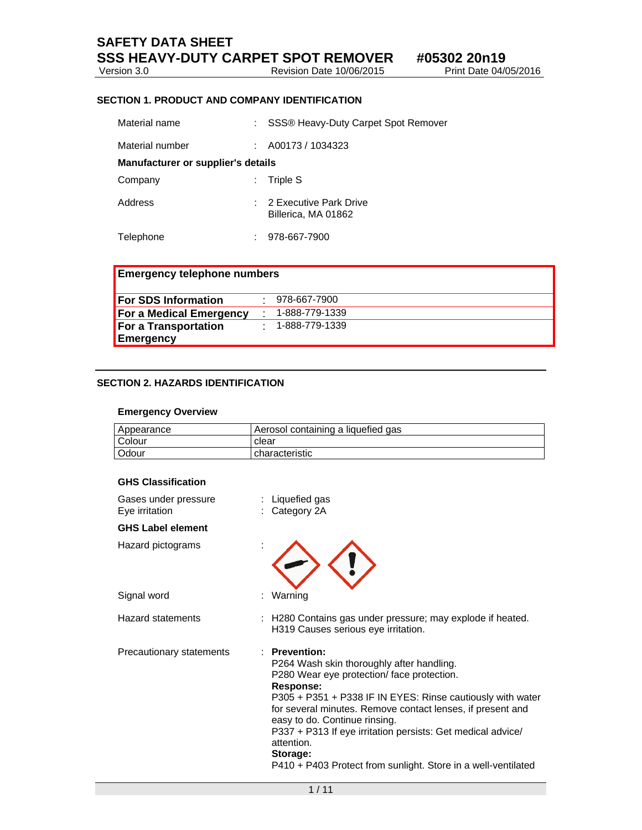# **SAFETY DATA SHEET SSS HEAVY-DUTY CARPET SPOT REMOVER** #05302 20n19<br>Version 3.0 Revision Date 10/06/2015 Print Date 04/05/2016

Version 3.0 Revision Date 10/06/2016

## **SECTION 1. PRODUCT AND COMPANY IDENTIFICATION**

| Material name                      |    | : SSS® Heavy-Duty Carpet Spot Remover           |
|------------------------------------|----|-------------------------------------------------|
| Material number                    |    | A00173 / 1034323                                |
| Manufacturer or supplier's details |    |                                                 |
| Company                            | ÷. | Triple S                                        |
| Address                            |    | : 2 Executive Park Drive<br>Billerica, MA 01862 |
| Telephone                          |    | 978-667-7900                                    |

| <b>Emergency telephone numbers</b> |  |                |  |  |
|------------------------------------|--|----------------|--|--|
| <b>For SDS Information</b>         |  | 978-667-7900   |  |  |
| <b>For a Medical Emergency</b>     |  | 1-888-779-1339 |  |  |
| <b>For a Transportation</b>        |  | 1-888-779-1339 |  |  |
| Emergency                          |  |                |  |  |

## **SECTION 2. HAZARDS IDENTIFICATION**

#### **Emergency Overview**

| Appearance    | Aerosol containing a liquefied gas |
|---------------|------------------------------------|
| <b>Colour</b> | clear                              |
| <b>Odour</b>  | characteristic                     |

#### **GHS Classification**

| Gases under pressure<br>Eye irritation |   | Liquefied gas<br>Category 2A                                                                                                                                                                                                                                                                                                                                                                                                                     |
|----------------------------------------|---|--------------------------------------------------------------------------------------------------------------------------------------------------------------------------------------------------------------------------------------------------------------------------------------------------------------------------------------------------------------------------------------------------------------------------------------------------|
| <b>GHS Label element</b>               |   |                                                                                                                                                                                                                                                                                                                                                                                                                                                  |
| Hazard pictograms                      |   |                                                                                                                                                                                                                                                                                                                                                                                                                                                  |
| Signal word                            | t | Warning                                                                                                                                                                                                                                                                                                                                                                                                                                          |
| <b>Hazard statements</b>               |   | H280 Contains gas under pressure; may explode if heated.<br>H319 Causes serious eye irritation.                                                                                                                                                                                                                                                                                                                                                  |
| Precautionary statements               |   | <b>Prevention:</b><br>P264 Wash skin thoroughly after handling.<br>P280 Wear eye protection/face protection.<br>Response:<br>P305 + P351 + P338 IF IN EYES: Rinse cautiously with water<br>for several minutes. Remove contact lenses, if present and<br>easy to do. Continue rinsing.<br>P337 + P313 If eye irritation persists: Get medical advice/<br>attention.<br>Storage:<br>P410 + P403 Protect from sunlight. Store in a well-ventilated |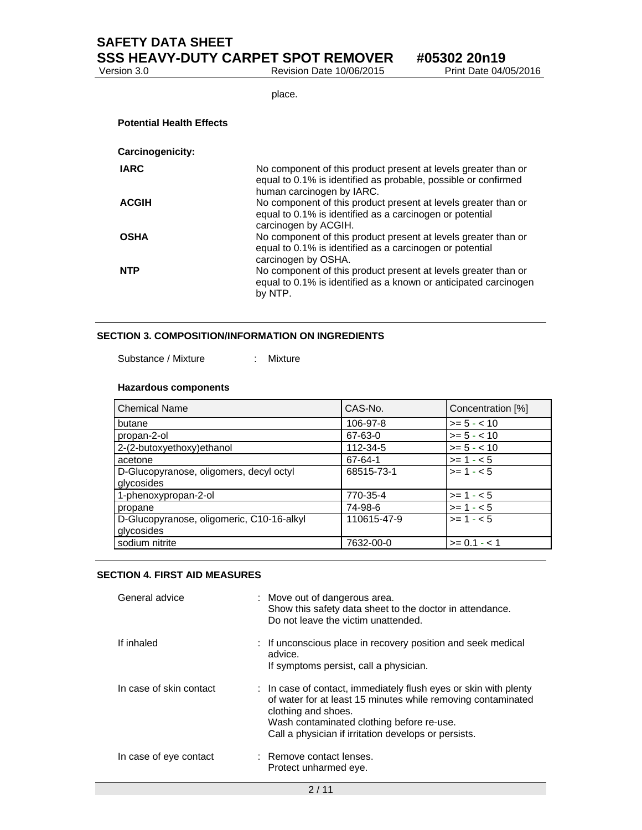Revision Date 10/06/2015

place.

| <b>Potential Health Effects</b> |                                                                                                                                                               |
|---------------------------------|---------------------------------------------------------------------------------------------------------------------------------------------------------------|
| <b>Carcinogenicity:</b>         |                                                                                                                                                               |
| <b>IARC</b>                     | No component of this product present at levels greater than or<br>equal to 0.1% is identified as probable, possible or confirmed<br>human carcinogen by IARC. |
| <b>ACGIH</b>                    | No component of this product present at levels greater than or<br>equal to 0.1% is identified as a carcinogen or potential<br>carcinogen by ACGIH.            |
| OSHA                            | No component of this product present at levels greater than or<br>equal to 0.1% is identified as a carcinogen or potential<br>carcinogen by OSHA.             |
| NTP                             | No component of this product present at levels greater than or<br>equal to 0.1% is identified as a known or anticipated carcinogen<br>by NTP.                 |

## **SECTION 3. COMPOSITION/INFORMATION ON INGREDIENTS**

Substance / Mixture : Mixture

#### **Hazardous components**

| <b>Chemical Name</b>                      | CAS-No.     | Concentration [%] |
|-------------------------------------------|-------------|-------------------|
| butane                                    | 106-97-8    | $>= 5 - < 10$     |
| propan-2-ol                               | 67-63-0     | $>= 5 - < 10$     |
| 2-(2-butoxyethoxy)ethanol                 | 112-34-5    | $>= 5 - < 10$     |
| acetone                                   | 67-64-1     | $>= 1 - 5$        |
| D-Glucopyranose, oligomers, decyl octyl   | 68515-73-1  | $>= 1 - 5$        |
| glycosides                                |             |                   |
| 1-phenoxypropan-2-ol                      | 770-35-4    | $>= 1 - 5$        |
| propane                                   | 74-98-6     | $>= 1 - 5$        |
| D-Glucopyranose, oligomeric, C10-16-alkyl | 110615-47-9 | $>= 1 - 5$        |
| glycosides                                |             |                   |
| sodium nitrite                            | 7632-00-0   | $>= 0.1 - 1$      |

#### **SECTION 4. FIRST AID MEASURES**

| General advice          | : Move out of dangerous area.<br>Show this safety data sheet to the doctor in attendance.<br>Do not leave the victim unattended.                                                                                                                             |
|-------------------------|--------------------------------------------------------------------------------------------------------------------------------------------------------------------------------------------------------------------------------------------------------------|
| If inhaled              | : If unconscious place in recovery position and seek medical<br>advice.<br>If symptoms persist, call a physician.                                                                                                                                            |
| In case of skin contact | : In case of contact, immediately flush eyes or skin with plenty<br>of water for at least 15 minutes while removing contaminated<br>clothing and shoes.<br>Wash contaminated clothing before re-use.<br>Call a physician if irritation develops or persists. |
| In case of eye contact  | : Remove contact lenses.<br>Protect unharmed eye.                                                                                                                                                                                                            |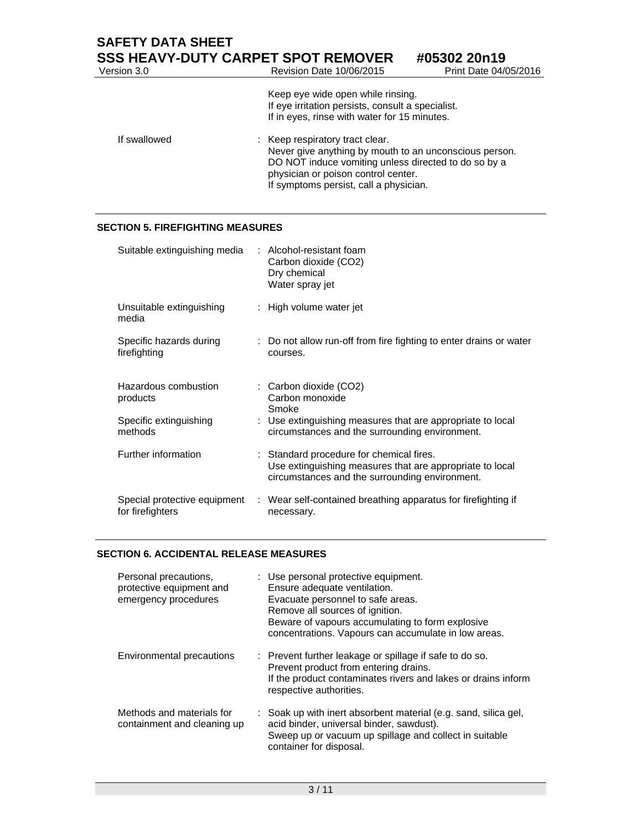| <b>SAFETY DATA SHEET</b> | <b>SSS HEAVY-DUTY CARPET SPOT REMOVER</b>                                                                                                                                                | #05302 20n19          |
|--------------------------|------------------------------------------------------------------------------------------------------------------------------------------------------------------------------------------|-----------------------|
| Version 3.0              | Revision Date 10/06/2015                                                                                                                                                                 | Print Date 04/05/2016 |
|                          | Keep eye wide open while rinsing.<br>If eye irritation persists, consult a specialist.<br>If in eyes, rinse with water for 15 minutes.                                                   |                       |
| If swallowed             | : Keep respiratory tract clear.<br>Never give anything by mouth to an unconscious person.<br>DO NOT induce vomiting unless directed to do so by a<br>physician or poison control center. |                       |

If symptoms persist, call a physician.

## **SECTION 5. FIREFIGHTING MEASURES**

| Suitable extinguishing media                     | : Alcohol-resistant foam<br>Carbon dioxide (CO2)<br>Dry chemical<br>Water spray jet                                                                    |
|--------------------------------------------------|--------------------------------------------------------------------------------------------------------------------------------------------------------|
| Unsuitable extinguishing<br>media                | : High volume water jet                                                                                                                                |
| Specific hazards during<br>firefighting          | : Do not allow run-off from fire fighting to enter drains or water<br>courses.                                                                         |
| Hazardous combustion<br>products                 | : Carbon dioxide (CO2)<br>Carbon monoxide<br>Smoke                                                                                                     |
| Specific extinguishing<br>methods                | : Use extinguishing measures that are appropriate to local<br>circumstances and the surrounding environment.                                           |
| Further information                              | : Standard procedure for chemical fires.<br>Use extinguishing measures that are appropriate to local<br>circumstances and the surrounding environment. |
| Special protective equipment<br>for firefighters | : Wear self-contained breathing apparatus for firefighting if<br>necessary.                                                                            |

## **SECTION 6. ACCIDENTAL RELEASE MEASURES**

| Personal precautions,<br>protective equipment and<br>emergency procedures | : Use personal protective equipment.<br>Ensure adequate ventilation.<br>Evacuate personnel to safe areas.<br>Remove all sources of ignition.<br>Beware of vapours accumulating to form explosive<br>concentrations. Vapours can accumulate in low areas. |
|---------------------------------------------------------------------------|----------------------------------------------------------------------------------------------------------------------------------------------------------------------------------------------------------------------------------------------------------|
| Environmental precautions                                                 | : Prevent further leakage or spillage if safe to do so.<br>Prevent product from entering drains.<br>If the product contaminates rivers and lakes or drains inform<br>respective authorities.                                                             |
| Methods and materials for<br>containment and cleaning up                  | : Soak up with inert absorbent material (e.g. sand, silica gel,<br>acid binder, universal binder, sawdust).<br>Sweep up or vacuum up spillage and collect in suitable<br>container for disposal.                                                         |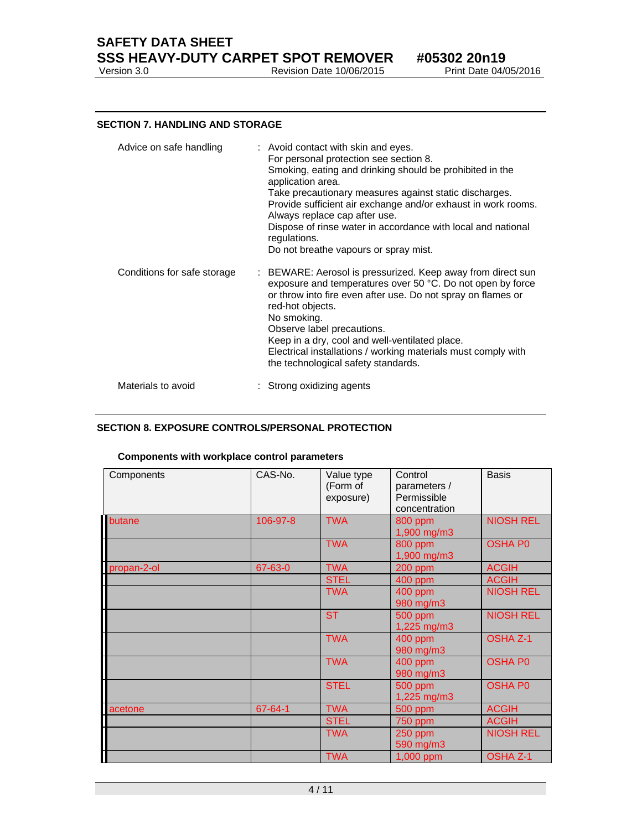**SAFETY DATA SHEET SSS HEAVY-DUTY CARPET SPOT REMOVER** #05302 20n19<br>Version 3.0 Revision Date 10/06/2015 Print Date 04/05/2016

#### **SECTION 7. HANDLING AND STORAGE**

| Advice on safe handling     | : Avoid contact with skin and eyes.<br>For personal protection see section 8.<br>Smoking, eating and drinking should be prohibited in the<br>application area.<br>Take precautionary measures against static discharges.<br>Provide sufficient air exchange and/or exhaust in work rooms.<br>Always replace cap after use.<br>Dispose of rinse water in accordance with local and national<br>regulations.<br>Do not breathe vapours or spray mist. |
|-----------------------------|-----------------------------------------------------------------------------------------------------------------------------------------------------------------------------------------------------------------------------------------------------------------------------------------------------------------------------------------------------------------------------------------------------------------------------------------------------|
| Conditions for safe storage | : BEWARE: Aerosol is pressurized. Keep away from direct sun<br>exposure and temperatures over 50 °C. Do not open by force<br>or throw into fire even after use. Do not spray on flames or<br>red-hot objects.<br>No smoking.<br>Observe label precautions.<br>Keep in a dry, cool and well-ventilated place.<br>Electrical installations / working materials must comply with<br>the technological safety standards.                                |
| Materials to avoid          | Strong oxidizing agents                                                                                                                                                                                                                                                                                                                                                                                                                             |

## **SECTION 8. EXPOSURE CONTROLS/PERSONAL PROTECTION**

## **Components with workplace control parameters**

| Components  | CAS-No.  | Value type<br>(Form of<br>exposure) | Control<br>parameters /<br>Permissible<br>concentration | <b>Basis</b>     |
|-------------|----------|-------------------------------------|---------------------------------------------------------|------------------|
| butane      | 106-97-8 | <b>TWA</b>                          | 800 ppm<br>1,900 mg/m3                                  | <b>NIOSH REL</b> |
|             |          | <b>TWA</b>                          | 800 ppm<br>1,900 mg/m3                                  | <b>OSHA P0</b>   |
| propan-2-ol | 67-63-0  | <b>TWA</b>                          | 200 ppm                                                 | <b>ACGIH</b>     |
|             |          | <b>STEL</b>                         | 400 ppm                                                 | <b>ACGIH</b>     |
|             |          | <b>TWA</b>                          | 400 ppm<br>980 mg/m3                                    | <b>NIOSH REL</b> |
|             |          | <b>ST</b>                           | 500 ppm<br>1,225 mg/m3                                  | <b>NIOSH REL</b> |
|             |          | <b>TWA</b>                          | 400 ppm<br>980 mg/m3                                    | <b>OSHA Z-1</b>  |
|             |          | <b>TWA</b>                          | 400 ppm<br>980 mg/m3                                    | <b>OSHA PO</b>   |
|             |          | <b>STEL</b>                         | 500 ppm<br>1,225 mg/m3                                  | <b>OSHA P0</b>   |
| acetone     | 67-64-1  | <b>TWA</b>                          | 500 ppm                                                 | <b>ACGIH</b>     |
|             |          | <b>STEL</b>                         | 750 ppm                                                 | <b>ACGIH</b>     |
|             |          | <b>TWA</b>                          | $250$ ppm<br>590 mg/m3                                  | <b>NIOSH REL</b> |
|             |          | <b>TWA</b>                          | 1,000 ppm                                               | <b>OSHA Z-1</b>  |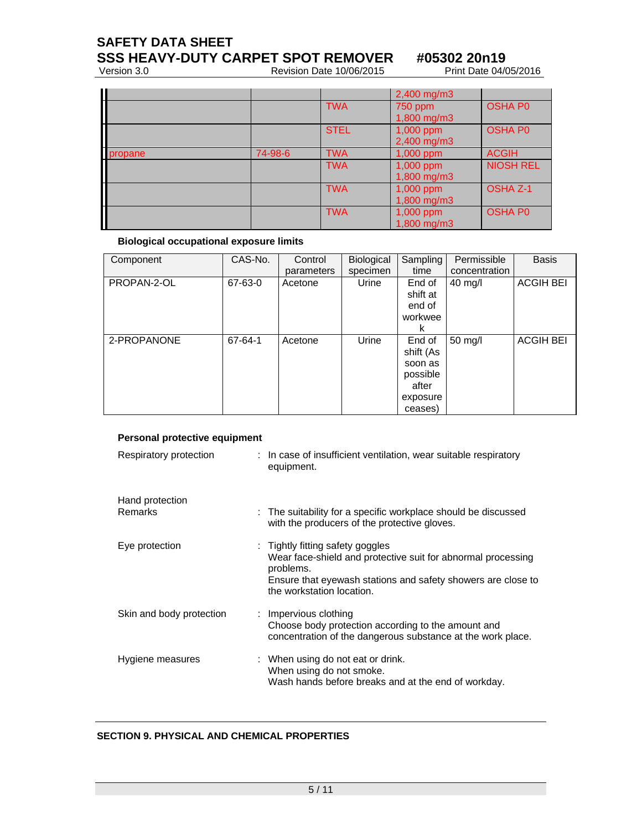**SAFETY DATA SHEET** 

**SSS HEAVY-DUTY CARPET SPOT REMOVER** #05302 20n19<br>Version 3.0 Revision Date 10/06/2015 Print Date 04/05/2016

Revision Date 10/06/2015

| H                        |         |             | 2,400 mg/m3      |                  |
|--------------------------|---------|-------------|------------------|------------------|
|                          |         | <b>TWA</b>  | 750 ppm          | <b>OSHA PO</b>   |
|                          |         |             | $1,800$ mg/m $3$ |                  |
|                          |         | <b>STEL</b> | 1,000 ppm        | <b>OSHA PO</b>   |
|                          |         |             | 2,400 mg/m3      |                  |
| propane                  | 74-98-6 | <b>TWA</b>  | 1,000 ppm        | <b>ACGIH</b>     |
|                          |         | <b>TWA</b>  | 1,000 ppm        | <b>NIOSH REL</b> |
|                          |         |             | 1,800 mg/m3      |                  |
|                          |         | <b>TWA</b>  | $1,000$ ppm      | <b>OSHA Z-1</b>  |
| $\overline{\phantom{a}}$ |         |             | 1,800 mg/m3      |                  |
|                          |         | <b>TWA</b>  | 1,000 ppm        | <b>OSHA PO</b>   |
|                          |         |             | 1,800 mg/m3      |                  |

## **Biological occupational exposure limits**

| Component   | CAS-No. | Control    | Biological | Sampling  | Permissible   | <b>Basis</b>     |
|-------------|---------|------------|------------|-----------|---------------|------------------|
|             |         | parameters | specimen   | time      | concentration |                  |
| PROPAN-2-OL | 67-63-0 | Acetone    | Urine      | End of    | $40$ mg/l     | <b>ACGIH BEI</b> |
|             |         |            |            | shift at  |               |                  |
|             |         |            |            | end of    |               |                  |
|             |         |            |            | workwee   |               |                  |
|             |         |            |            | ĸ         |               |                  |
| 2-PROPANONE | 67-64-1 | Acetone    | Urine      | End of    | 50 mg/l       | <b>ACGIH BEI</b> |
|             |         |            |            | shift (As |               |                  |
|             |         |            |            | soon as   |               |                  |
|             |         |            |            | possible  |               |                  |
|             |         |            |            | after     |               |                  |
|             |         |            |            | exposure  |               |                  |
|             |         |            |            | ceases)   |               |                  |

## **Personal protective equipment**

| Respiratory protection   | : In case of insufficient ventilation, wear suitable respiratory<br>equipment.                                                                                                                             |
|--------------------------|------------------------------------------------------------------------------------------------------------------------------------------------------------------------------------------------------------|
| Hand protection          |                                                                                                                                                                                                            |
| Remarks                  | : The suitability for a specific workplace should be discussed<br>with the producers of the protective gloves.                                                                                             |
| Eye protection           | : Tightly fitting safety goggles<br>Wear face-shield and protective suit for abnormal processing<br>problems.<br>Ensure that eyewash stations and safety showers are close to<br>the workstation location. |
| Skin and body protection | : Impervious clothing<br>Choose body protection according to the amount and<br>concentration of the dangerous substance at the work place.                                                                 |
| Hygiene measures         | : When using do not eat or drink.<br>When using do not smoke.<br>Wash hands before breaks and at the end of workday.                                                                                       |

## **SECTION 9. PHYSICAL AND CHEMICAL PROPERTIES**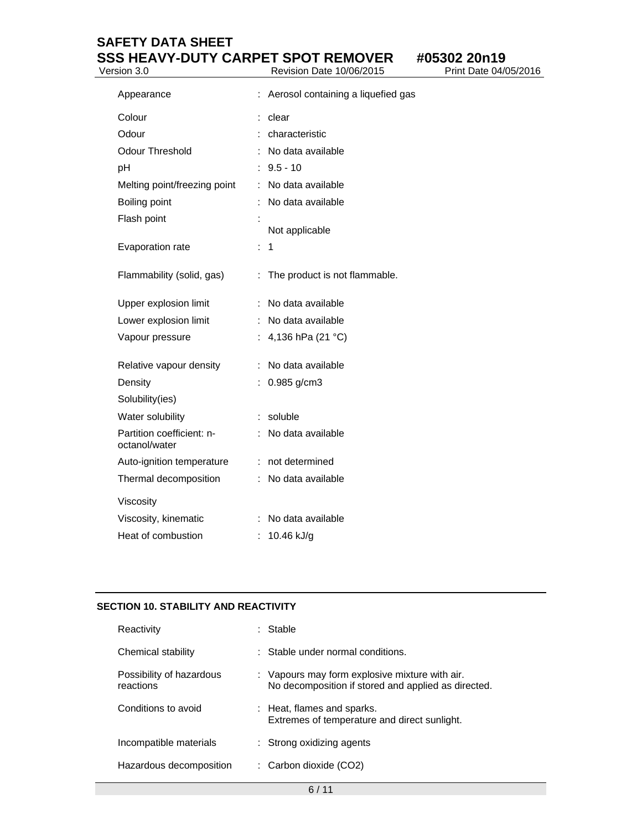# **SAFETY DATA SHEET SSS HEAVY-DUTY CARPET SPOT REMOVER** #05302 20n19<br> **Nersion 3.0** Revision Date 10/06/2015 Print Date 04/05/2016

Version 3.0 **Review Area** 

| Appearance                                 |                      | Aerosol containing a liquefied gas |
|--------------------------------------------|----------------------|------------------------------------|
| Colour                                     |                      | clear                              |
| Odour                                      | t                    | characteristic                     |
| <b>Odour Threshold</b>                     | ÷                    | No data available                  |
| рH                                         | t                    | $9.5 - 10$                         |
| Melting point/freezing point               | t                    | No data available                  |
| Boiling point                              | ÷                    | No data available                  |
| Flash point                                | :                    | Not applicable                     |
| Evaporation rate                           | ÷                    | 1                                  |
| Flammability (solid, gas)                  | ÷                    | The product is not flammable.      |
| Upper explosion limit                      | t.                   | No data available                  |
| Lower explosion limit                      | ÷                    | No data available                  |
| Vapour pressure                            | t.                   | 4,136 hPa (21 °C)                  |
| Relative vapour density                    | ÷                    | No data available                  |
| Density                                    | ÷                    | 0.985 g/cm3                        |
| Solubility(ies)                            |                      |                                    |
| Water solubility                           | $\ddot{\phantom{a}}$ | soluble                            |
| Partition coefficient: n-<br>octanol/water | ÷                    | No data available                  |
| Auto-ignition temperature                  | ÷                    | not determined                     |
| Thermal decomposition                      |                      | No data available                  |
| Viscosity                                  |                      |                                    |
| Viscosity, kinematic                       | ÷                    | No data available                  |
| Heat of combustion                         | ÷.                   | 10.46 kJ/g                         |

## **SECTION 10. STABILITY AND REACTIVITY**

| Reactivity                            | Stable                                                                                                |
|---------------------------------------|-------------------------------------------------------------------------------------------------------|
| Chemical stability                    | : Stable under normal conditions.                                                                     |
| Possibility of hazardous<br>reactions | : Vapours may form explosive mixture with air.<br>No decomposition if stored and applied as directed. |
| Conditions to avoid                   | : Heat, flames and sparks.<br>Extremes of temperature and direct sunlight.                            |
| Incompatible materials                | $:$ Strong oxidizing agents                                                                           |
| Hazardous decomposition               | $\therefore$ Carbon dioxide (CO2)                                                                     |
|                                       |                                                                                                       |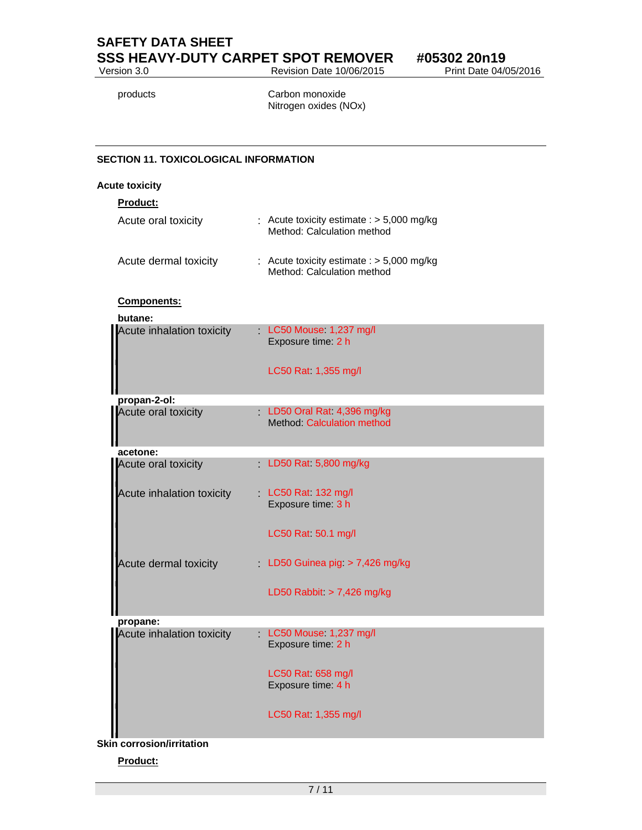**SAFETY DATA SHEET SSS HEAVY-DUTY CARPET SPOT REMOVER** #05302 20n19<br> **Nevision Date 10/06/2015** Print Date 04/05/2016

Revision Date 10/06/2015

products **Carbon monoxide** Nitrogen oxides (NOx)

## **SECTION 11. TOXICOLOGICAL INFORMATION**

#### **Acute toxicity**

**Product:** 

| Acute oral toxicity   | : Acute toxicity estimate : $>$ 5,000 mg/kg<br>Method: Calculation method |
|-----------------------|---------------------------------------------------------------------------|
| Acute dermal toxicity | : Acute toxicity estimate : $>$ 5,000 mg/kg<br>Method: Calculation method |

## **Components:**

| butane:                   |                                                                    |
|---------------------------|--------------------------------------------------------------------|
| Acute inhalation toxicity | LC50 Mouse 1,237 mg/l<br>Exposure time: 2 h<br>LC50 Rat 1,355 mg/l |
|                           |                                                                    |
| propan-2-ol:              |                                                                    |
| Acute oral toxicity       | LD50 Oral Rat. 4,396 mg/kg<br>Method: Calculation method           |
| acetone:                  |                                                                    |
| Acute oral toxicity       | LD50 Rat 5,800 mg/kg                                               |
| Acute inhalation toxicity | LC50 Rat 132 mg/l<br>Exposure time: 3 h                            |
|                           | LC50 Rat 50.1 mg/l                                                 |
| Acute dermal toxicity     | LD50 Guinea pig $> 7,426$ mg/kg                                    |
|                           | LD50 Rabbit $> 7,426$ mg/kg                                        |
| propane:                  |                                                                    |
| Acute inhalation toxicity | LC50 Mouse 1,237 mg/l<br>Exposure time: 2 h                        |
|                           | LC50 Rat 658 mg/l<br>Exposure time: 4 h                            |
|                           | LC50 Rat 1,355 mg/l                                                |
| in corrosion/irritation   |                                                                    |

**Skin corrosion/irritation** 

## **Product:**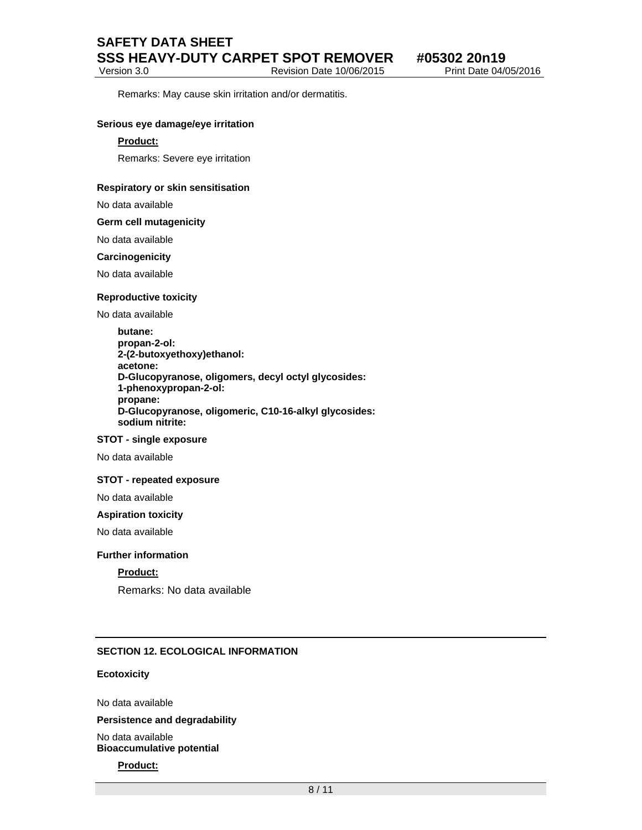## **SAFETY DATA SHEET SSS HEAVY-DUTY CARPET SPOT REMOVER #05302 20n19**

Version 3.0 Revision Date 10/06/2015 Print Date 04/05/2016

Remarks: May cause skin irritation and/or dermatitis.

#### **Serious eye damage/eye irritation**

#### **Product:**

Remarks: Severe eye irritation

#### **Respiratory or skin sensitisation**

No data available

**Germ cell mutagenicity** 

#### No data available

#### **Carcinogenicity**

No data available

#### **Reproductive toxicity**

No data available

**butane: propan-2-ol: 2-(2-butoxyethoxy)ethanol: acetone: D-Glucopyranose, oligomers, decyl octyl glycosides: 1-phenoxypropan-2-ol: propane: D-Glucopyranose, oligomeric, C10-16-alkyl glycosides: sodium nitrite:** 

## **STOT - single exposure**

No data available

#### **STOT - repeated exposure**

No data available

#### **Aspiration toxicity**

No data available

#### **Further information**

## **Product:**

Remarks: No data available

## **SECTION 12. ECOLOGICAL INFORMATION**

#### **Ecotoxicity**

No data available

#### **Persistence and degradability**

No data available **Bioaccumulative potential** 

## **Product:**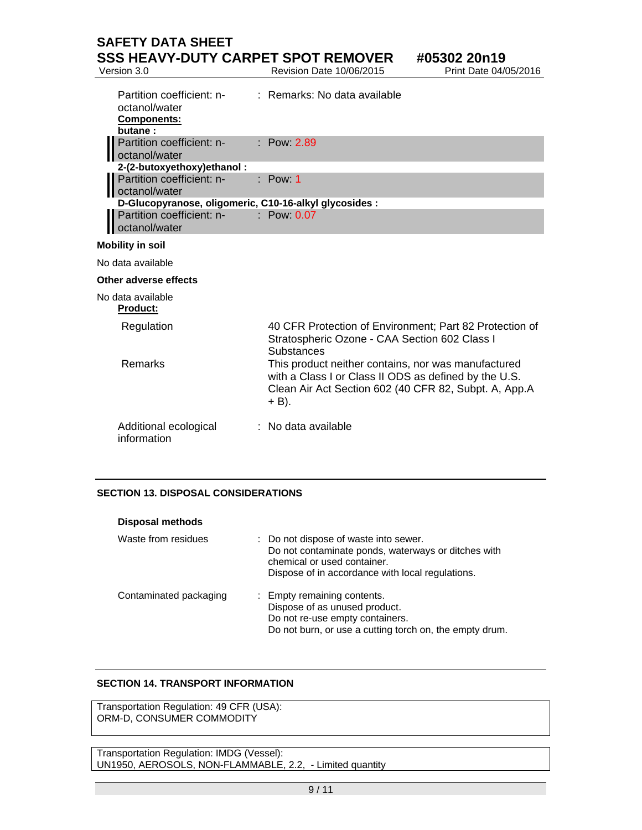# **SAFETY DATA SHEET SSS HEAVY-DUTY CARPET SPOT REMOVER** #05302 20n19<br>Version 3.0 Revision Date 10/06/2015 Print Date 04/05/2016

Revision Date 10/06/2015

| Partition coefficient: n- : Remarks: No data available<br>octanol/water<br><b>Components:</b><br>butane: |                      |
|----------------------------------------------------------------------------------------------------------|----------------------|
| Partition coefficient: n-<br>octanol/water                                                               | <b>Example 12.89</b> |
| 2-(2-butoxyethoxy) ethanol:                                                                              |                      |
| Partition coefficient: n- : Pow: 1<br>octanol/water                                                      |                      |
| D-Glucopyranose, oligomeric, C10-16-alkyl glycosides :                                                   |                      |
| Partition coefficient: n- : Pow: 0.07<br>octanol/water                                                   |                      |
| <b>Mobility in soil</b>                                                                                  |                      |
| No data available                                                                                        |                      |

## **Other adverse effects**

No data available

#### **Product:**

| Regulation                           | 40 CFR Protection of Environment; Part 82 Protection of<br>Stratospheric Ozone - CAA Section 602 Class I<br><b>Substances</b>                                                     |
|--------------------------------------|-----------------------------------------------------------------------------------------------------------------------------------------------------------------------------------|
| <b>Remarks</b>                       | This product neither contains, nor was manufactured<br>with a Class I or Class II ODS as defined by the U.S.<br>Clean Air Act Section 602 (40 CFR 82, Subpt. A, App.A<br>$+ B$ ). |
| Additional ecological<br>information | $:$ No data available                                                                                                                                                             |

## **SECTION 13. DISPOSAL CONSIDERATIONS**

| <b>Disposal methods</b> |                                                                                                                                                                               |
|-------------------------|-------------------------------------------------------------------------------------------------------------------------------------------------------------------------------|
| Waste from residues     | Do not dispose of waste into sewer.<br>Do not contaminate ponds, waterways or ditches with<br>chemical or used container.<br>Dispose of in accordance with local regulations. |
| Contaminated packaging  | : Empty remaining contents.<br>Dispose of as unused product.<br>Do not re-use empty containers.<br>Do not burn, or use a cutting torch on, the empty drum.                    |

## **SECTION 14. TRANSPORT INFORMATION**

Transportation Regulation: 49 CFR (USA): ORM-D, CONSUMER COMMODITY

Transportation Regulation: IMDG (Vessel): UN1950, AEROSOLS, NON-FLAMMABLE, 2.2, - Limited quantity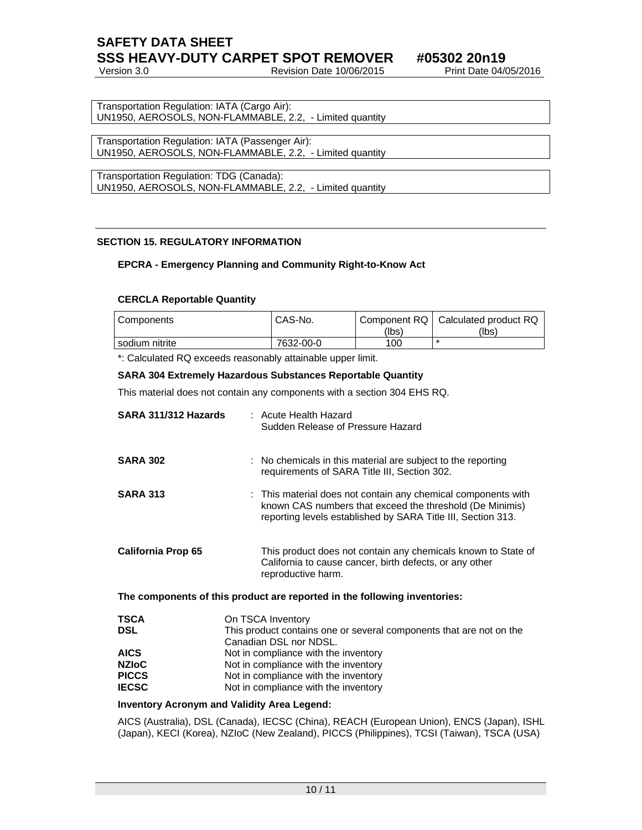## **SAFETY DATA SHEET SSS HEAVY-DUTY CARPET SPOT REMOVER #05302 20n19**

Version 3.0 Revision Date 10/06/2015 Print Date 04/05/2016

Transportation Regulation: IATA (Cargo Air): UN1950, AEROSOLS, NON-FLAMMABLE, 2.2, - Limited quantity

Transportation Regulation: IATA (Passenger Air): UN1950, AEROSOLS, NON-FLAMMABLE, 2.2, - Limited quantity

Transportation Regulation: TDG (Canada): UN1950, AEROSOLS, NON-FLAMMABLE, 2.2, - Limited quantity

## **SECTION 15. REGULATORY INFORMATION**

## **EPCRA - Emergency Planning and Community Right-to-Know Act**

## **CERCLA Reportable Quantity**

| Components     | CAS-No.   | (lbs) | Component RQ   Calculated product RQ<br>(lbs) |
|----------------|-----------|-------|-----------------------------------------------|
| sodium nitrite | 7632-00-0 | 100   |                                               |

\*: Calculated RQ exceeds reasonably attainable upper limit.

## **SARA 304 Extremely Hazardous Substances Reportable Quantity**

This material does not contain any components with a section 304 EHS RQ.

| SARA 311/312 Hazards         | : Acute Health Hazard<br>Sudden Release of Pressure Hazard                                                                                                                                |
|------------------------------|-------------------------------------------------------------------------------------------------------------------------------------------------------------------------------------------|
| <b>SARA 302</b>              | : No chemicals in this material are subject to the reporting<br>requirements of SARA Title III, Section 302.                                                                              |
| <b>SARA 313</b>              | : This material does not contain any chemical components with<br>known CAS numbers that exceed the threshold (De Minimis)<br>reporting levels established by SARA Title III, Section 313. |
| <b>California Prop 65</b>    | This product does not contain any chemicals known to State of<br>California to cause cancer, birth defects, or any other<br>reproductive harm.                                            |
|                              | The components of this product are reported in the following inventories:                                                                                                                 |
| <b>TSCA</b>                  | On TSCA Inventory                                                                                                                                                                         |
| <b>DSL</b>                   | This product contains one or several components that are not on the<br>Canadian DSL nor NDSL.                                                                                             |
| <b>AICS</b>                  | Not in compliance with the inventory                                                                                                                                                      |
| <b>NZIoC</b>                 | Not in compliance with the inventory                                                                                                                                                      |
| <b>PICCS</b><br><b>IECSC</b> | Not in compliance with the inventory<br>Not in compliance with the inventory                                                                                                              |
| Increased a more Area        | al Maliaitheachad an Daoineacha                                                                                                                                                           |

## **Inventory Acronym and Validity Area Legend:**

AICS (Australia), DSL (Canada), IECSC (China), REACH (European Union), ENCS (Japan), ISHL (Japan), KECI (Korea), NZIoC (New Zealand), PICCS (Philippines), TCSI (Taiwan), TSCA (USA)